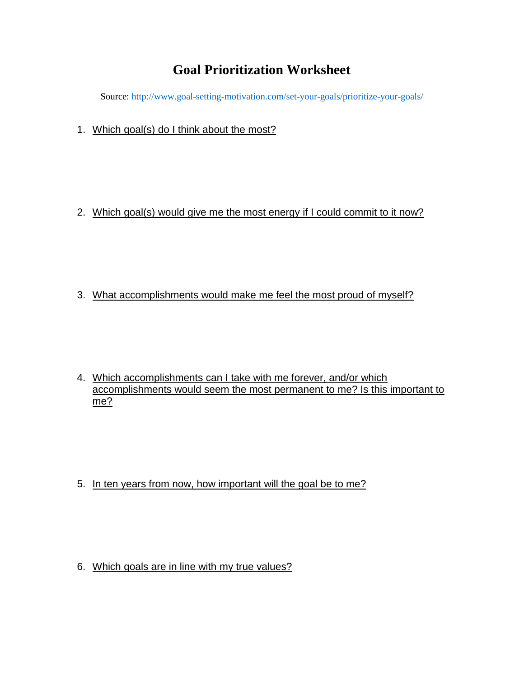## **Goal Prioritization Worksheet**

Source[: http://www.goal-setting-motivation.com/set-your-goals/prioritize-your-goals/](http://www.goal-setting-motivation.com/set-your-goals/prioritize-your-goals/)

1. Which goal(s) do I think about the most?

2. Which goal(s) would give me the most energy if I could commit to it now?

3. What accomplishments would make me feel the most proud of myself?

4. Which accomplishments can I take with me forever, and/or which accomplishments would seem the most permanent to me? Is this important to me?

5. In ten years from now, how important will the goal be to me?

6. Which goals are in line with my true values?